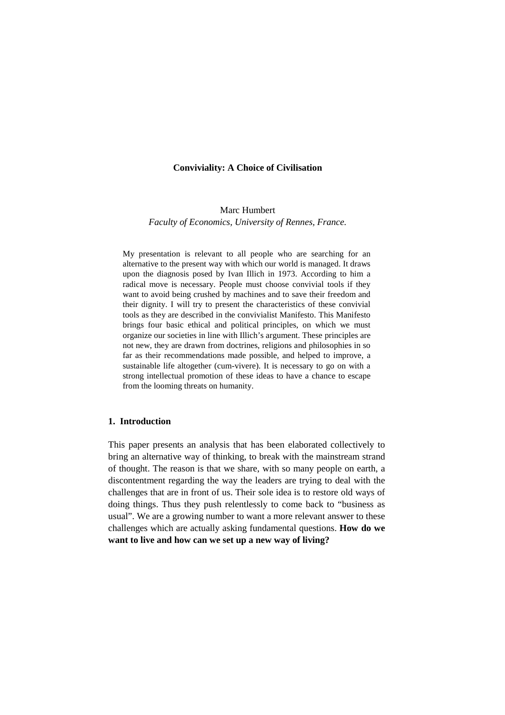#### **Conviviality: A Choice of Civilisation**

Marc Humbert *Faculty of Economics, University of Rennes, France.*

My presentation is relevant to all people who are searching for an alternative to the present way with which our world is managed. It draws upon the diagnosis posed by Ivan Illich in 1973. According to him a radical move is necessary. People must choose convivial tools if they want to avoid being crushed by machines and to save their freedom and their dignity. I will try to present the characteristics of these convivial tools as they are described in the convivialist Manifesto. This Manifesto brings four basic ethical and political principles, on which we must organize our societies in line with Illich's argument. These principles are not new, they are drawn from doctrines, religions and philosophies in so far as their recommendations made possible, and helped to improve, a sustainable life altogether (cum-vivere). It is necessary to go on with a strong intellectual promotion of these ideas to have a chance to escape from the looming threats on humanity.

#### **1. Introduction**

This paper presents an analysis that has been elaborated collectively to bring an alternative way of thinking, to break with the mainstream strand of thought. The reason is that we share, with so many people on earth, a discontentment regarding the way the leaders are trying to deal with the challenges that are in front of us. Their sole idea is to restore old ways of doing things. Thus they push relentlessly to come back to "business as usual". We are a growing number to want a more relevant answer to these challenges which are actually asking fundamental questions. **How do we want to live and how can we set up a new way of living?**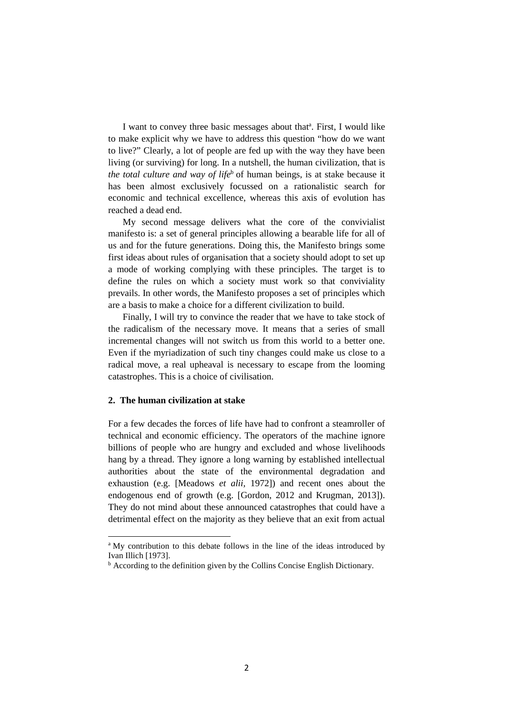I want to convey three basic messages about that<sup>a</sup>. First, I would like to make explicit why we have to address this question "how do we want to live?" Clearly, a lot of people are fed up with the way they have been living (or surviving) for long. In a nutshell, the human civilization, that is *the total culture and way of life*<sup>b</sup> of human beings, is at stake because it has been almost exclusively focussed on a rationalistic search for economic and technical excellence, whereas this axis of evolution has reached a dead end.

My second message delivers what the core of the convivialist manifesto is: a set of general principles allowing a bearable life for all of us and for the future generations. Doing this, the Manifesto brings some first ideas about rules of organisation that a society should adopt to set up a mode of working complying with these principles. The target is to define the rules on which a society must work so that conviviality prevails. In other words, the Manifesto proposes a set of principles which are a basis to make a choice for a different civilization to build.

Finally, I will try to convince the reader that we have to take stock of the radicalism of the necessary move. It means that a series of small incremental changes will not switch us from this world to a better one. Even if the myriadization of such tiny changes could make us close to a radical move, a real upheaval is necessary to escape from the looming catastrophes. This is a choice of civilisation.

#### **2. The human civilization at stake**

 $\overline{a}$ 

For a few decades the forces of life have had to confront a steamroller of technical and economic efficiency. The operators of the machine ignore billions of people who are hungry and excluded and whose livelihoods hang by a thread. They ignore a long warning by established intellectual authorities about the state of the environmental degradation and exhaustion (e.g. [Meadows *et alii,* 1972]) and recent ones about the endogenous end of growth (e.g. [Gordon, 2012 and Krugman, 2013]). They do not mind about these announced catastrophes that could have a detrimental effect on the majority as they believe that an exit from actual

<sup>&</sup>lt;sup>a</sup> My contribution to this debate follows in the line of the ideas introduced by Ivan Illich [1973].

<sup>&</sup>lt;sup>b</sup> According to the definition given by the Collins Concise English Dictionary.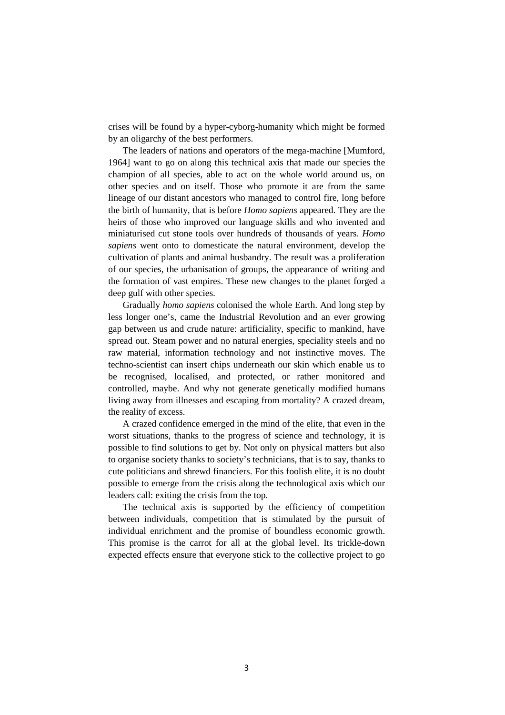crises will be found by a hyper-cyborg-humanity which might be formed by an oligarchy of the best performers.

The leaders of nations and operators of the mega-machine [Mumford, 1964] want to go on along this technical axis that made our species the champion of all species, able to act on the whole world around us, on other species and on itself. Those who promote it are from the same lineage of our distant ancestors who managed to control fire, long before the birth of humanity, that is before *Homo sapiens* appeared. They are the heirs of those who improved our language skills and who invented and miniaturised cut stone tools over hundreds of thousands of years. *Homo sapiens* went onto to domesticate the natural environment, develop the cultivation of plants and animal husbandry. The result was a proliferation of our species, the urbanisation of groups, the appearance of writing and the formation of vast empires. These new changes to the planet forged a deep gulf with other species.

Gradually *homo sapiens* colonised the whole Earth. And long step by less longer one's, came the Industrial Revolution and an ever growing gap between us and crude nature: artificiality, specific to mankind, have spread out. Steam power and no natural energies, speciality steels and no raw material, information technology and not instinctive moves. The techno-scientist can insert chips underneath our skin which enable us to be recognised, localised, and protected, or rather monitored and controlled, maybe. And why not generate genetically modified humans living away from illnesses and escaping from mortality? A crazed dream, the reality of excess.

A crazed confidence emerged in the mind of the elite, that even in the worst situations, thanks to the progress of science and technology, it is possible to find solutions to get by. Not only on physical matters but also to organise society thanks to society's technicians, that is to say, thanks to cute politicians and shrewd financiers. For this foolish elite, it is no doubt possible to emerge from the crisis along the technological axis which our leaders call: exiting the crisis from the top.

The technical axis is supported by the efficiency of competition between individuals, competition that is stimulated by the pursuit of individual enrichment and the promise of boundless economic growth. This promise is the carrot for all at the global level. Its trickle-down expected effects ensure that everyone stick to the collective project to go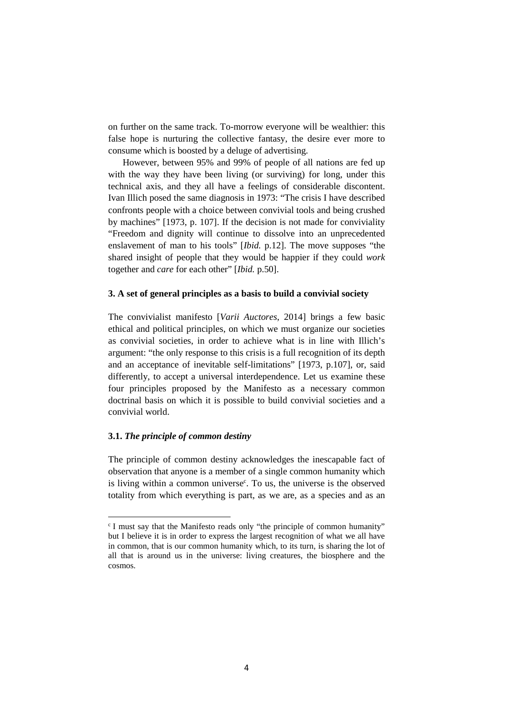on further on the same track. To-morrow everyone will be wealthier: this false hope is nurturing the collective fantasy, the desire ever more to consume which is boosted by a deluge of advertising.

However, between 95% and 99% of people of all nations are fed up with the way they have been living (or surviving) for long, under this technical axis, and they all have a feelings of considerable discontent. Ivan Illich posed the same diagnosis in 1973: "The crisis I have described confronts people with a choice between convivial tools and being crushed by machines" [1973, p. 107]. If the decision is not made for conviviality "Freedom and dignity will continue to dissolve into an unprecedented enslavement of man to his tools" [*Ibid.* p.12]. The move supposes "the shared insight of people that they would be happier if they could *work* together and *care* for each other" [*Ibid.* p.50].

# **3. A set of general principles as a basis to build a convivial society**

The convivialist manifesto [*Varii Auctores*, 2014] brings a few basic ethical and political principles, on which we must organize our societies as convivial societies, in order to achieve what is in line with Illich's argument: "the only response to this crisis is a full recognition of its depth and an acceptance of inevitable self-limitations" [1973, p.107], or, said differently, to accept a universal interdependence. Let us examine these four principles proposed by the Manifesto as a necessary common doctrinal basis on which it is possible to build convivial societies and a convivial world.

### **3.1.** *The principle of common destiny*

l

The principle of common destiny acknowledges the inescapable fact of observation that anyone is a member of a single common humanity which is living within a common universe<sup>c</sup>. To us, the universe is the observed totality from which everything is part, as we are, as a species and as an

<sup>&</sup>lt;sup>c</sup> I must say that the Manifesto reads only "the principle of common humanity" but I believe it is in order to express the largest recognition of what we all have in common, that is our common humanity which, to its turn, is sharing the lot of all that is around us in the universe: living creatures, the biosphere and the cosmos.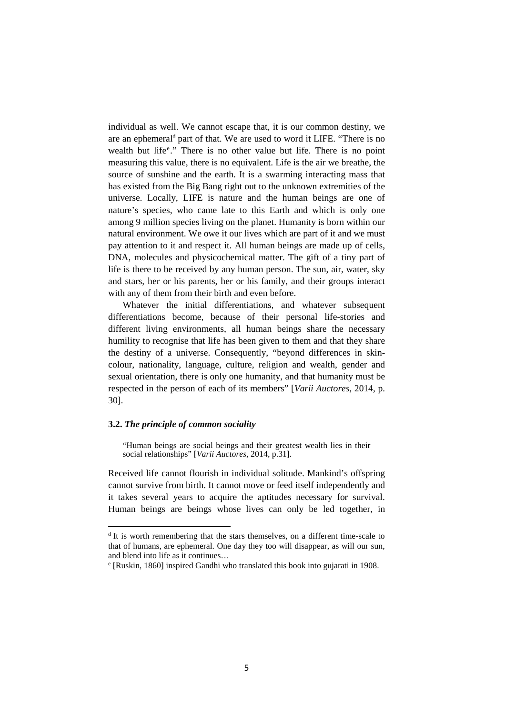individual as well. We cannot escape that, it is our common destiny, we are an ephemeral<sup>d</sup> part of that. We are used to word it LIFE. "There is no wealth but life<sup>e</sup>." There is no other value but life. There is no point measuring this value, there is no equivalent. Life is the air we breathe, the source of sunshine and the earth. It is a swarming interacting mass that has existed from the Big Bang right out to the unknown extremities of the universe. Locally, LIFE is nature and the human beings are one of nature's species, who came late to this Earth and which is only one among 9 million species living on the planet. Humanity is born within our natural environment. We owe it our lives which are part of it and we must pay attention to it and respect it. All human beings are made up of cells, DNA, molecules and physicochemical matter. The gift of a tiny part of life is there to be received by any human person. The sun, air, water, sky and stars, her or his parents, her or his family, and their groups interact with any of them from their birth and even before.

Whatever the initial differentiations, and whatever subsequent differentiations become, because of their personal life-stories and different living environments, all human beings share the necessary humility to recognise that life has been given to them and that they share the destiny of a universe. Consequently, "beyond differences in skincolour, nationality, language, culture, religion and wealth, gender and sexual orientation, there is only one humanity, and that humanity must be respected in the person of each of its members" [*Varii Auctores*, 2014, p. 30].

#### **3.2.** *The principle of common sociality*

 $\overline{a}$ 

"Human beings are social beings and their greatest wealth lies in their social relationships" [*Varii Auctores*, 2014, p.31].

Received life cannot flourish in individual solitude. Mankind's offspring cannot survive from birth. It cannot move or feed itself independently and it takes several years to acquire the aptitudes necessary for survival. Human beings are beings whose lives can only be led together, in

<sup>&</sup>lt;sup>d</sup> It is worth remembering that the stars themselves, on a different time-scale to that of humans, are ephemeral. One day they too will disappear, as will our sun, and blend into life as it continues…

e [Ruskin, 1860] inspired Gandhi who translated this book into gujarati in 1908.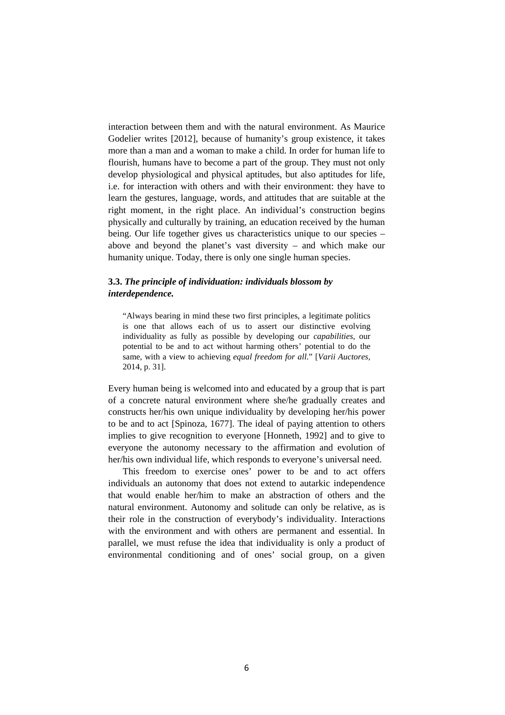interaction between them and with the natural environment. As Maurice Godelier writes [2012], because of humanity's group existence, it takes more than a man and a woman to make a child. In order for human life to flourish, humans have to become a part of the group. They must not only develop physiological and physical aptitudes, but also aptitudes for life, i.e. for interaction with others and with their environment: they have to learn the gestures, language, words, and attitudes that are suitable at the right moment, in the right place. An individual's construction begins physically and culturally by training, an education received by the human being. Our life together gives us characteristics unique to our species – above and beyond the planet's vast diversity – and which make our humanity unique. Today, there is only one single human species.

# **3.3.** *The principle of individuation: individuals blossom by interdependence.*

"Always bearing in mind these two first principles, a legitimate politics is one that allows each of us to assert our distinctive evolving individuality as fully as possible by developing our *capabilities*, our potential to be and to act without harming others' potential to do the same, with a view to achieving *equal freedom for all*." [*Varii Auctores*, 2014, p. 31].

Every human being is welcomed into and educated by a group that is part of a concrete natural environment where she/he gradually creates and constructs her/his own unique individuality by developing her/his power to be and to act [Spinoza, 1677]. The ideal of paying attention to others implies to give recognition to everyone [Honneth, 1992] and to give to everyone the autonomy necessary to the affirmation and evolution of her/his own individual life, which responds to everyone's universal need.

This freedom to exercise ones' power to be and to act offers individuals an autonomy that does not extend to autarkic independence that would enable her/him to make an abstraction of others and the natural environment. Autonomy and solitude can only be relative, as is their role in the construction of everybody's individuality. Interactions with the environment and with others are permanent and essential. In parallel, we must refuse the idea that individuality is only a product of environmental conditioning and of ones' social group, on a given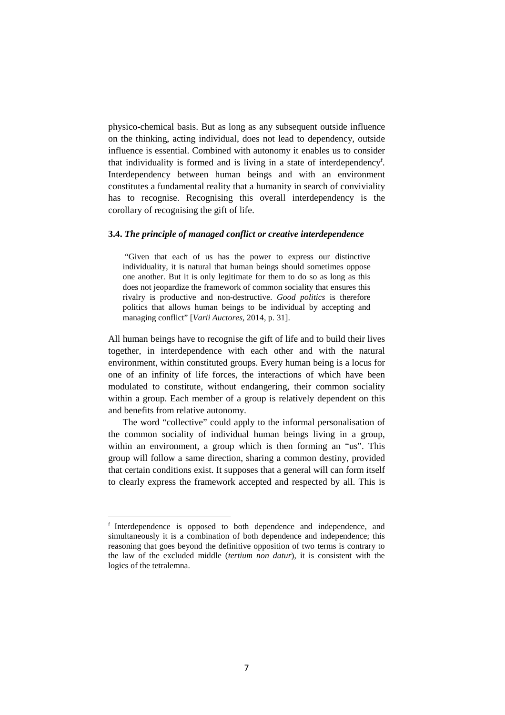physico-chemical basis. But as long as any subsequent outside influence on the thinking, acting individual, does not lead to dependency, outside influence is essential. Combined with autonomy it enables us to consider that individuality is formed and is living in a state of interdependency<sup>f</sup>. Interdependency between human beings and with an environment constitutes a fundamental reality that a humanity in search of conviviality has to recognise. Recognising this overall interdependency is the corollary of recognising the gift of life.

#### **3.4.** *The principle of managed conflict or creative interdependence*

 "Given that each of us has the power to express our distinctive individuality, it is natural that human beings should sometimes oppose one another. But it is only legitimate for them to do so as long as this does not jeopardize the framework of common sociality that ensures this rivalry is productive and non-destructive. *Good politics* is therefore politics that allows human beings to be individual by accepting and managing conflict" [*Varii Auctores*, 2014, p. 31].

All human beings have to recognise the gift of life and to build their lives together, in interdependence with each other and with the natural environment, within constituted groups. Every human being is a locus for one of an infinity of life forces, the interactions of which have been modulated to constitute, without endangering, their common sociality within a group. Each member of a group is relatively dependent on this and benefits from relative autonomy.

The word "collective" could apply to the informal personalisation of the common sociality of individual human beings living in a group, within an environment, a group which is then forming an "us". This group will follow a same direction, sharing a common destiny, provided that certain conditions exist. It supposes that a general will can form itself to clearly express the framework accepted and respected by all. This is

l

f Interdependence is opposed to both dependence and independence, and simultaneously it is a combination of both dependence and independence; this reasoning that goes beyond the definitive opposition of two terms is contrary to the law of the excluded middle (*tertium non datur*), it is consistent with the logics of the tetralemna.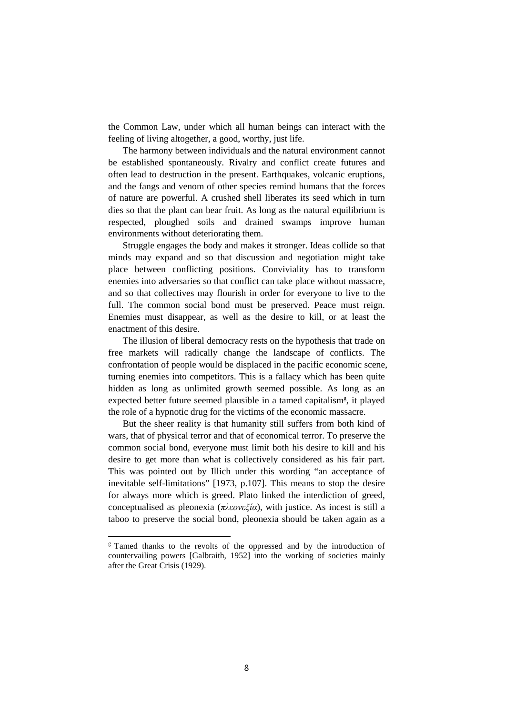the Common Law, under which all human beings can interact with the feeling of living altogether, a good, worthy, just life.

The harmony between individuals and the natural environment cannot be established spontaneously. Rivalry and conflict create futures and often lead to destruction in the present. Earthquakes, volcanic eruptions, and the fangs and venom of other species remind humans that the forces of nature are powerful. A crushed shell liberates its seed which in turn dies so that the plant can bear fruit. As long as the natural equilibrium is respected, ploughed soils and drained swamps improve human environments without deteriorating them.

Struggle engages the body and makes it stronger. Ideas collide so that minds may expand and so that discussion and negotiation might take place between conflicting positions. Conviviality has to transform enemies into adversaries so that conflict can take place without massacre, and so that collectives may flourish in order for everyone to live to the full. The common social bond must be preserved. Peace must reign. Enemies must disappear, as well as the desire to kill, or at least the enactment of this desire.

The illusion of liberal democracy rests on the hypothesis that trade on free markets will radically change the landscape of conflicts. The confrontation of people would be displaced in the pacific economic scene, turning enemies into competitors. This is a fallacy which has been quite hidden as long as unlimited growth seemed possible. As long as an expected better future seemed plausible in a tamed capitalism<sup>g</sup>, it played the role of a hypnotic drug for the victims of the economic massacre.

But the sheer reality is that humanity still suffers from both kind of wars, that of physical terror and that of economical terror. To preserve the common social bond, everyone must limit both his desire to kill and his desire to get more than what is collectively considered as his fair part. This was pointed out by Illich under this wording "an acceptance of inevitable self-limitations" [1973, p.107]. This means to stop the desire for always more which is greed. Plato linked the interdiction of greed, conceptualised as pleonexia (*πλεονεξία*), with justice. As incest is still a taboo to preserve the social bond, pleonexia should be taken again as a

 $\overline{a}$ 

<sup>&</sup>lt;sup>g</sup> Tamed thanks to the revolts of the oppressed and by the introduction of countervailing powers [Galbraith, 1952] into the working of societies mainly after the Great Crisis (1929).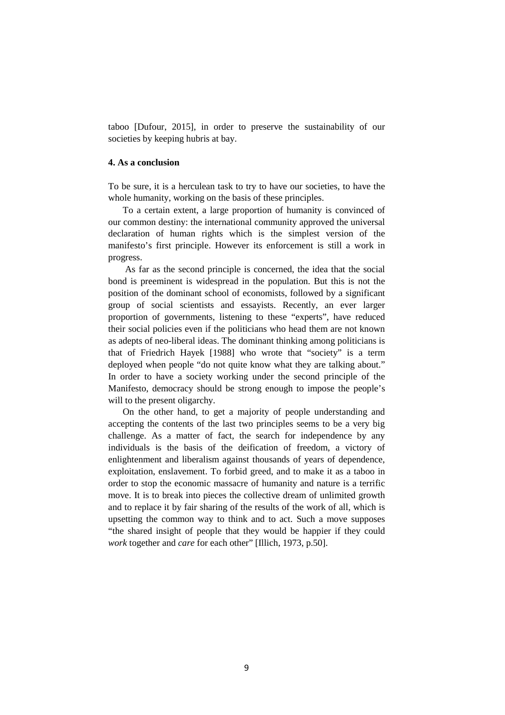taboo [Dufour, 2015], in order to preserve the sustainability of our societies by keeping hubris at bay.

## **4. As a conclusion**

To be sure, it is a herculean task to try to have our societies, to have the whole humanity, working on the basis of these principles.

To a certain extent, a large proportion of humanity is convinced of our common destiny: the international community approved the universal declaration of human rights which is the simplest version of the manifesto's first principle. However its enforcement is still a work in progress.

 As far as the second principle is concerned, the idea that the social bond is preeminent is widespread in the population. But this is not the position of the dominant school of economists, followed by a significant group of social scientists and essayists. Recently, an ever larger proportion of governments, listening to these "experts", have reduced their social policies even if the politicians who head them are not known as adepts of neo-liberal ideas. The dominant thinking among politicians is that of Friedrich Hayek [1988] who wrote that "society" is a term deployed when people "do not quite know what they are talking about." In order to have a society working under the second principle of the Manifesto, democracy should be strong enough to impose the people's will to the present oligarchy.

On the other hand, to get a majority of people understanding and accepting the contents of the last two principles seems to be a very big challenge. As a matter of fact, the search for independence by any individuals is the basis of the deification of freedom, a victory of enlightenment and liberalism against thousands of years of dependence, exploitation, enslavement. To forbid greed, and to make it as a taboo in order to stop the economic massacre of humanity and nature is a terrific move. It is to break into pieces the collective dream of unlimited growth and to replace it by fair sharing of the results of the work of all, which is upsetting the common way to think and to act. Such a move supposes "the shared insight of people that they would be happier if they could *work* together and *care* for each other" [Illich, 1973, p.50].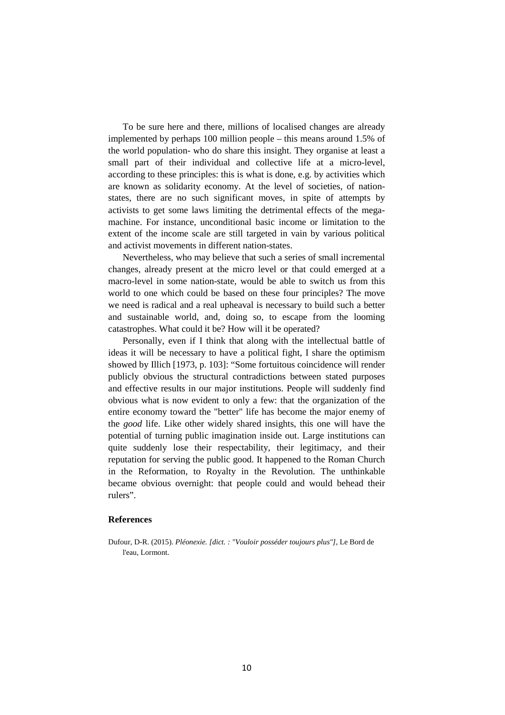To be sure here and there, millions of localised changes are already implemented by perhaps 100 million people – this means around 1.5% of the world population- who do share this insight. They organise at least a small part of their individual and collective life at a micro-level, according to these principles: this is what is done, e.g. by activities which are known as solidarity economy. At the level of societies, of nationstates, there are no such significant moves, in spite of attempts by activists to get some laws limiting the detrimental effects of the megamachine. For instance, unconditional basic income or limitation to the extent of the income scale are still targeted in vain by various political and activist movements in different nation-states.

Nevertheless, who may believe that such a series of small incremental changes, already present at the micro level or that could emerged at a macro-level in some nation-state, would be able to switch us from this world to one which could be based on these four principles? The move we need is radical and a real upheaval is necessary to build such a better and sustainable world, and, doing so, to escape from the looming catastrophes. What could it be? How will it be operated?

Personally, even if I think that along with the intellectual battle of ideas it will be necessary to have a political fight, I share the optimism showed by Illich [1973, p. 103]: "Some fortuitous coincidence will render publicly obvious the structural contradictions between stated purposes and effective results in our major institutions. People will suddenly find obvious what is now evident to only a few: that the organization of the entire economy toward the "better" life has become the major enemy of the *good* life. Like other widely shared insights, this one will have the potential of turning public imagination inside out. Large institutions can quite suddenly lose their respectability, their legitimacy, and their reputation for serving the public good. It happened to the Roman Church in the Reformation, to Royalty in the Revolution. The unthinkable became obvious overnight: that people could and would behead their rulers".

#### **References**

Dufour, D-R. (2015). *Pléonexie. [dict. : "Vouloir posséder toujours plus"]*, Le Bord de l'eau, Lormont.